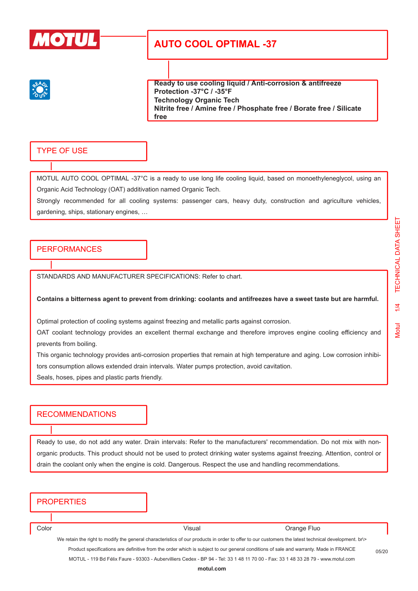

**Ready to use cooling liquid / Anti-corrosion & antifreeze Protection -37°C / -35°F Technology Organic Tech Nitrite free / Amine free / Phosphate free / Borate free / Silicate free**

### TYPE OF USE

MOTUL AUTO COOL OPTIMAL -37°C is a ready to use long life cooling liquid, based on monoethyleneglycol, using an Organic Acid Technology (OAT) additivation named Organic Tech.

Strongly recommended for all cooling systems: passenger cars, heavy duty, construction and agriculture vehicles, gardening, ships, stationary engines, …

#### **PERFORMANCES**

STANDARDS AND MANUFACTURER SPECIFICATIONS: Refer to chart.

#### **Contains a bitterness agent to prevent from drinking: coolants and antifreezes have a sweet taste but are harmful.**

Optimal protection of cooling systems against freezing and metallic parts against corrosion.

OAT coolant technology provides an excellent thermal exchange and therefore improves engine cooling efficiency and prevents from boiling.

This organic technology provides anti-corrosion properties that remain at high temperature and aging. Low corrosion inhibitors consumption allows extended drain intervals. Water pumps protection, avoid cavitation.

Seals, hoses, pipes and plastic parts friendly.

### RECOMMENDATIONS

Ready to use, do not add any water. Drain intervals: Refer to the manufacturers' recommendation. Do not mix with nonorganic products. This product should not be used to protect drinking water systems against freezing. Attention, control or drain the coolant only when the engine is cold. Dangerous. Respect the use and handling recommendations.

#### **PROPERTIES**

Color Color Color Color Color Color Color Color Color Color Color Color Color Color Color Color Color Color Color Color Color Color Color Color Color Color Color Color Color Color Color Color Color Color Color Color Color

We retain the right to modify the general characteristics of our products in order to offer to our customers the latest technical development. br\> Product specifications are definitive from the order which is subject to our general conditions of sale and warranty. Made in FRANCE MOTUL - 119 Bd Félix Faure - 93303 - Aubervilliers Cedex - BP 94 - Tel: 33 1 48 11 70 00 - Fax: 33 1 48 33 28 79 - www.motul.com

05/20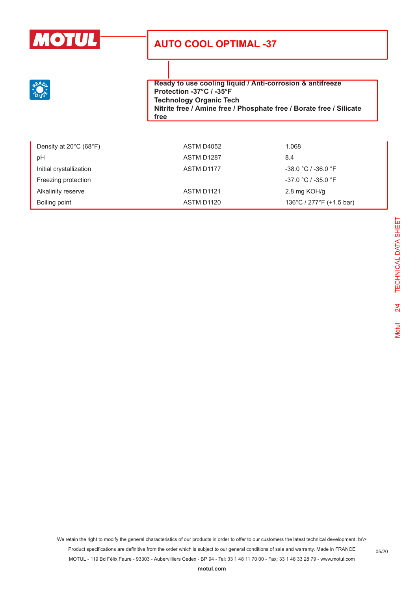**Ready to use cooling liquid / Anti-corrosion & antifreeze Protection -37°C / -35°F Technology Organic Tech Nitrite free / Amine free / Phosphate free / Borate free / Silicate free**

| Density at $20^{\circ}$ C (68 $^{\circ}$ F) | ASTM D4052 | 1.068                    |
|---------------------------------------------|------------|--------------------------|
| рH                                          | ASTM D1287 | 8.4                      |
| Initial crystallization                     | ASTM D1177 | $-38.0 °C / -36.0 °F$    |
| Freezing protection                         |            | $-37.0 °C / -35.0 °F$    |
| Alkalinity reserve                          | ASTM D1121 | 2.8 mg KOH/g             |
| Boiling point                               | ASTM D1120 | 136°C / 277°F (+1.5 bar) |

We retain the right to modify the general characteristics of our products in order to offer to our customers the latest technical development. br\> Product specifications are definitive from the order which is subject to our general conditions of sale and warranty. Made in FRANCE MOTUL - 119 Bd Félix Faure - 93303 - Aubervilliers Cedex - BP 94 - Tel: 33 1 48 11 70 00 - Fax: 33 1 48 33 28 79 - www.motul.com

05/20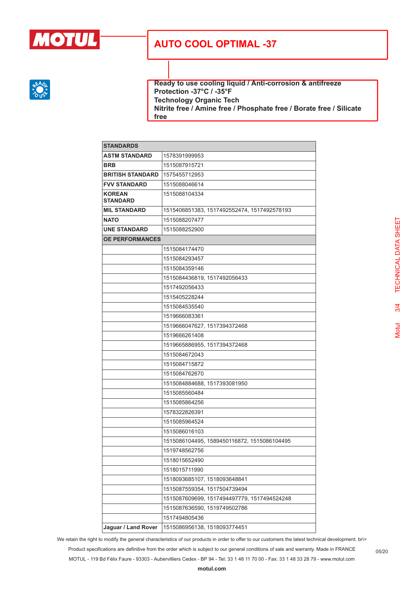

**Ready to use cooling liquid / Anti-corrosion & antifreeze Protection -37°C / -35°F Technology Organic Tech Nitrite free / Amine free / Phosphate free / Borate free / Silicate free**

| <b>STANDARDS</b>                 |                                             |
|----------------------------------|---------------------------------------------|
| <b>ASTM STANDARD</b>             | 1578391999953                               |
| <b>BRB</b>                       | 1515087915721                               |
| <b>BRITISH STANDARD</b>          | 1575455712953                               |
| <b>FVV STANDARD</b>              | 1515088046614                               |
| <b>KOREAN</b><br><b>STANDARD</b> | 1515088104334                               |
| <b>MIL STANDARD</b>              | 1515406851383, 1517492552474, 1517492578193 |
| <b>NATO</b>                      | 1515088207477                               |
| <b>UNE STANDARD</b>              | 1515088252900                               |
| <b>OE PERFORMANCES</b>           |                                             |
|                                  | 1515084174470                               |
|                                  | 1515084293457                               |
|                                  | 1515084359146                               |
|                                  | 1515084436819, 1517492056433                |
|                                  | 1517492056433                               |
|                                  | 1515405228244                               |
|                                  | 1515084535540                               |
|                                  | 1519666083361                               |
|                                  | 1519666047627, 1517394372468                |
|                                  | 1519666261408                               |
|                                  | 1519665886955, 1517394372468                |
|                                  | 1515084672043                               |
|                                  | 1515084715872                               |
|                                  | 1515084762670                               |
|                                  | 1515084884688, 1517393081950                |
|                                  | 1515085560484                               |
|                                  | 1515085864256                               |
|                                  | 1578322826391                               |
|                                  | 1515085964524                               |
|                                  | 1515086016103                               |
|                                  | 1515086104495, 1589450116872, 1515086104495 |
|                                  | 1519748562756                               |
|                                  | 1518015652490                               |
|                                  | 1518015711990                               |
|                                  | 1518093685107, 1518093648841                |
|                                  | 1515087559354, 1517504739494                |
|                                  | 1515087609699, 1517494497779, 1517494524248 |
|                                  | 1515087636590, 1519749502786                |
|                                  | 1517494805436                               |
| Jaguar / Land Rover              | 1515086956138, 1518093774451                |

We retain the right to modify the general characteristics of our products in order to offer to our customers the latest technical development. br\> Product specifications are definitive from the order which is subject to our general conditions of sale and warranty. Made in FRANCE MOTUL - 119 Bd Félix Faure - 93303 - Aubervilliers Cedex - BP 94 - Tel: 33 1 48 11 70 00 - Fax: 33 1 48 33 28 79 - www.motul.com

05/20